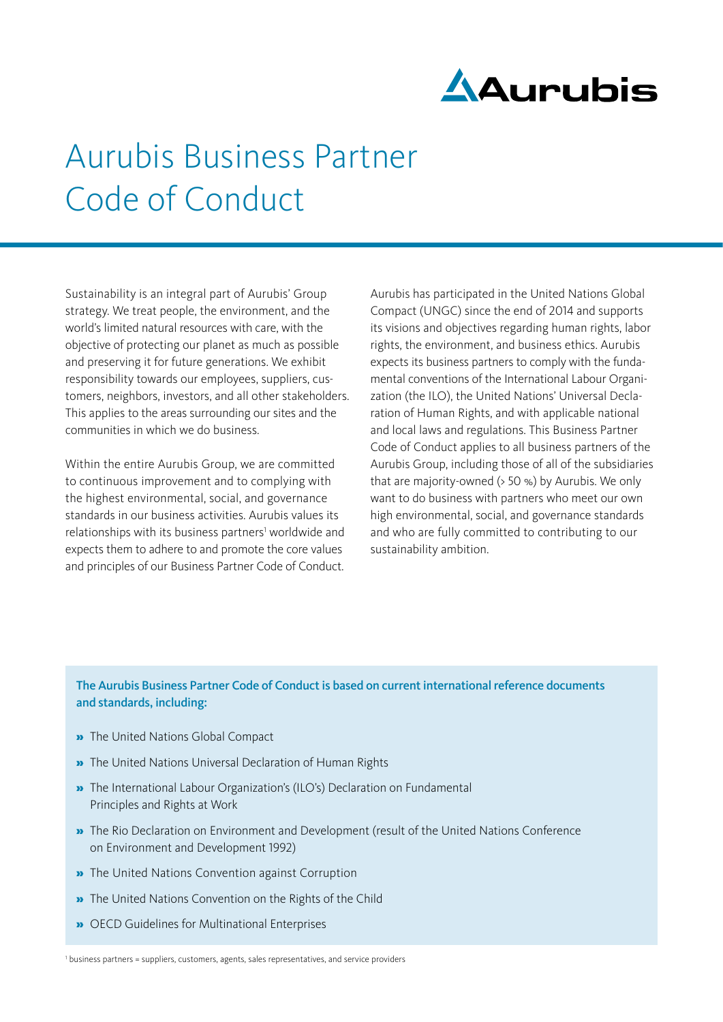

# Aurubis Business Partner Code of Conduct

Sustainability is an integral part of Aurubis' Group strategy. We treat people, the environment, and the world's limited natural resources with care, with the objective of protecting our planet as much as possible and preserving it for future generations. We exhibit responsibility towards our employees, suppliers, customers, neighbors, investors, and all other stakeholders. This applies to the areas surrounding our sites and the communities in which we do business.

Within the entire Aurubis Group, we are committed to continuous improvement and to complying with the highest environmental, social, and governance standards in our business activities. Aurubis values its relationships with its business partners<sup>1</sup> worldwide and expects them to adhere to and promote the core values and principles of our Business Partner Code of Conduct.

Aurubis has participated in the United Nations Global Compact (UNGC) since the end of 2014 and supports its visions and objectives regarding human rights, labor rights, the environment, and business ethics. Aurubis expects its business partners to comply with the fundamental conventions of the International Labour Organization (the ILO), the United Nations' Universal Declaration of Human Rights, and with applicable national and local laws and regulations. This Business Partner Code of Conduct applies to all business partners of the Aurubis Group, including those of all of the subsidiaries that are majority-owned (> 50 %) by Aurubis. We only want to do business with partners who meet our own high environmental, social, and governance standards and who are fully committed to contributing to our sustainability ambition.

### The Aurubis Business Partner Code of Conduct is based on current international reference documents and standards, including:

- » The United Nations Global Compact
- » The United Nations Universal Declaration of Human Rights
- » The International Labour Organization's (ILO's) Declaration on Fundamental Principles and Rights at Work
- » The Rio Declaration on Environment and Development (result of the United Nations Conference on Environment and Development 1992)
- » The United Nations Convention against Corruption
- » The United Nations Convention on the Rights of the Child
- » OECD Guidelines for Multinational Enterprises

<sup>1</sup> business partners = suppliers, customers, agents, sales representatives, and service providers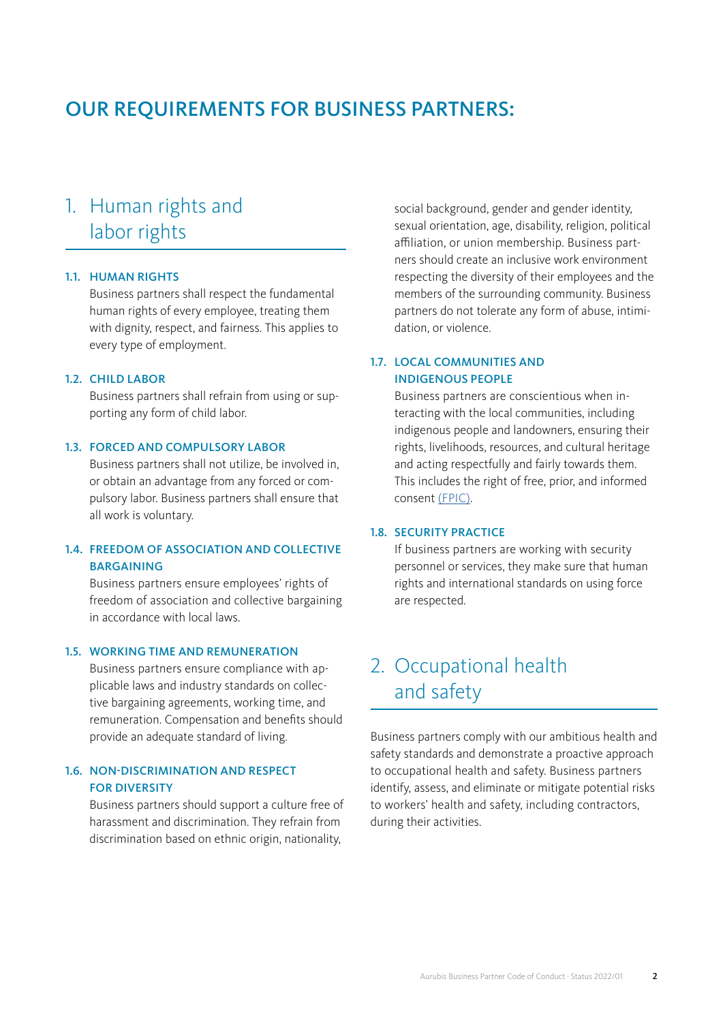### OUR REQUIREMENTS FOR BUSINESS PARTNERS:

### 1. Human rights and labor rights

#### 1.1. HUMAN RIGHTS

Business partners shall respect the fundamental human rights of every employee, treating them with dignity, respect, and fairness. This applies to every type of employment.

#### 1.2. CHILD LABOR

Business partners shall refrain from using or supporting any form of child labor.

#### 1.3. FORCED AND COMPULSORY LABOR

Business partners shall not utilize, be involved in, or obtain an advantage from any forced or compulsory labor. Business partners shall ensure that all work is voluntary.

### 1.4. FREEDOM OF ASSOCIATION AND COLLECTIVE BARGAINING

Business partners ensure employees' rights of freedom of association and collective bargaining in accordance with local laws.

#### 1.5. WORKING TIME AND REMUNERATION

Business partners ensure compliance with applicable laws and industry standards on collective bargaining agreements, working time, and remuneration. Compensation and benefits should provide an adequate standard of living.

#### 1.6. NON-DISCRIMINATION AND RESPECT FOR DIVERSITY

Business partners should support a culture free of harassment and discrimination. They refrain from discrimination based on ethnic origin, nationality,

social background, gender and gender identity, sexual orientation, age, disability, religion, political affiliation, or union membership. Business partners should create an inclusive work environment respecting the diversity of their employees and the members of the surrounding community. Business partners do not tolerate any form of abuse, intimidation, or violence.

### 1.7. LOCAL COMMUNITIES AND INDIGENOUS PEOPLE

Business partners are conscientious when interacting with the local communities, including indigenous people and landowners, ensuring their rights, livelihoods, resources, and cultural heritage and acting respectfully and fairly towards them. This includes the right of free, prior, and informed consent [\(FPIC\)](https://www.unglobalcompact.org/library/931).

#### 1.8. SECURITY PRACTICE

If business partners are working with security personnel or services, they make sure that human rights and international standards on using force are respected.

### 2. Occupational health and safety

Business partners comply with our ambitious health and safety standards and demonstrate a proactive approach to occupational health and safety. Business partners identify, assess, and eliminate or mitigate potential risks to workers' health and safety, including contractors, during their activities.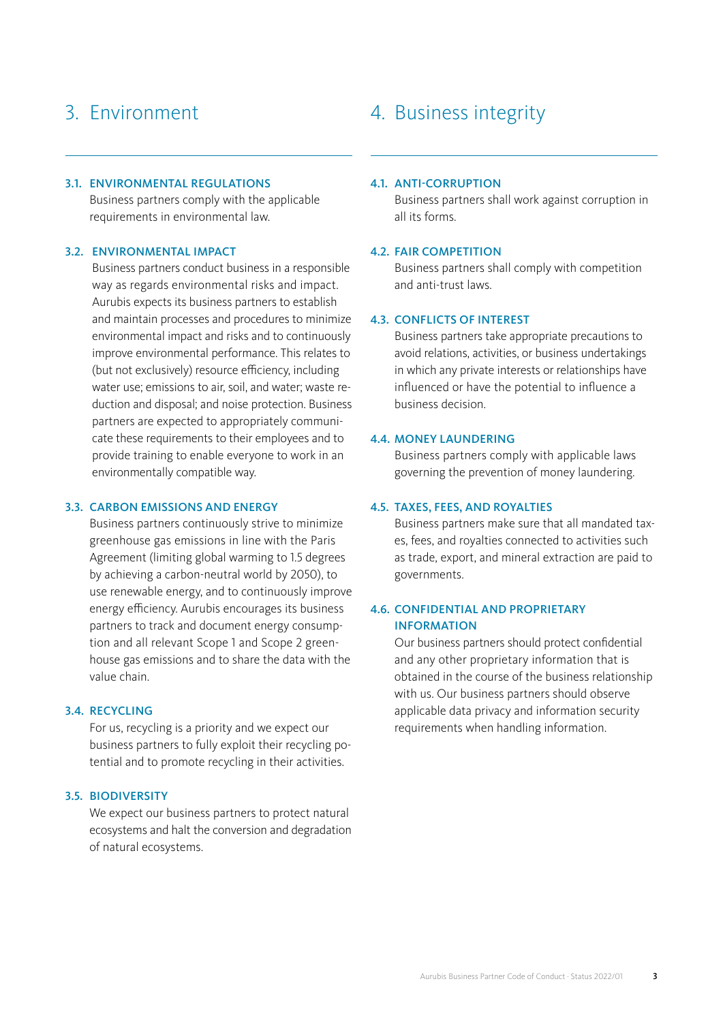# 3. Environment

#### 3.1. ENVIRONMENTAL REGULATIONS

Business partners comply with the applicable requirements in environmental law.

#### 3.2. ENVIRONMENTAL IMPACT

Business partners conduct business in a responsible way as regards environmental risks and impact. Aurubis expects its business partners to establish and maintain processes and procedures to minimize environmental impact and risks and to continuously improve environmental performance. This relates to (but not exclusively) resource efficiency, including water use; emissions to air, soil, and water; waste reduction and disposal; and noise protection. Business partners are expected to appropriately communicate these requirements to their employees and to provide training to enable everyone to work in an environmentally compatible way.

#### 3.3. CARBON EMISSIONS AND ENERGY

Business partners continuously strive to minimize greenhouse gas emissions in line with the Paris Agreement (limiting global warming to 1.5 degrees by achieving a carbon-neutral world by 2050), to use renewable energy, and to continuously improve energy efficiency. Aurubis encourages its business partners to track and document energy consumption and all relevant Scope 1 and Scope 2 greenhouse gas emissions and to share the data with the value chain.

### 3.4. RECYCLING

For us, recycling is a priority and we expect our business partners to fully exploit their recycling potential and to promote recycling in their activities.

#### 3.5. BIODIVERSITY

We expect our business partners to protect natural ecosystems and halt the conversion and degradation of natural ecosystems.

### 4. Business integrity

#### 4.1. ANTI-CORRUPTION

Business partners shall work against corruption in all its forms.

#### 4.2. FAIR COMPETITION

Business partners shall comply with competition and anti-trust laws.

#### 4.3. CONFLICTS OF INTEREST

Business partners take appropriate precautions to avoid relations, activities, or business undertakings in which any private interests or relationships have influenced or have the potential to influence a business decision.

#### 4.4. MONEY LAUNDERING

Business partners comply with applicable laws governing the prevention of money laundering.

#### 4.5. TAXES, FEES, AND ROYALTIES

Business partners make sure that all mandated taxes, fees, and royalties connected to activities such as trade, export, and mineral extraction are paid to governments.

#### 4.6. CONFIDENTIAL AND PROPRIETARY INFORMATION

Our business partners should protect confidential and any other proprietary information that is obtained in the course of the business relationship with us. Our business partners should observe applicable data privacy and information security requirements when handling information.